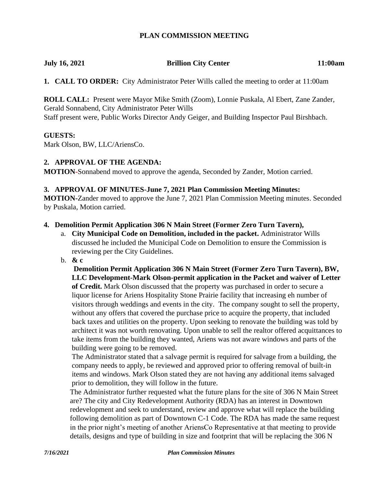### **PLAN COMMISSION MEETING**

# **July 16, 2021 Brillion City Center 11:00am**

**1. CALL TO ORDER:** City Administrator Peter Wills called the meeting to order at 11:00am

**ROLL CALL:** Present were Mayor Mike Smith (Zoom), Lonnie Puskala, Al Ebert, Zane Zander, Gerald Sonnabend, City Administrator Peter Wills Staff present were, Public Works Director Andy Geiger, and Building Inspector Paul Birshbach.

### **GUESTS:**

Mark Olson, BW, LLC/AriensCo.

## **2. APPROVAL OF THE AGENDA:**

**MOTION-**Sonnabend moved to approve the agenda, Seconded by Zander, Motion carried.

#### **3. APPROVAL OF MINUTES-June 7, 2021 Plan Commission Meeting Minutes:**

**MOTION-**Zander moved to approve the June 7, 2021 Plan Commission Meeting minutes. Seconded by Puskala, Motion carried.

#### **4. Demolition Permit Application 306 N Main Street (Former Zero Turn Tavern),**

- a. **City Municipal Code on Demolition, included in the packet.** Administrator Wills discussed he included the Municipal Code on Demolition to ensure the Commission is reviewing per the City Guidelines.
- b. **& c**

**Demolition Permit Application 306 N Main Street (Former Zero Turn Tavern), BW, LLC Development-Mark Olson-permit application in the Packet and waiver of Letter of Credit.** Mark Olson discussed that the property was purchased in order to secure a liquor license for Ariens Hospitality Stone Prairie facility that increasing eh number of visitors through weddings and events in the city. The company sought to sell the property, without any offers that covered the purchase price to acquire the property, that included back taxes and utilities on the property. Upon seeking to renovate the building was told by architect it was not worth renovating. Upon unable to sell the realtor offered acquittances to take items from the building they wanted, Ariens was not aware windows and parts of the building were going to be removed.

The Administrator stated that a salvage permit is required for salvage from a building, the company needs to apply, be reviewed and approved prior to offering removal of built-in items and windows. Mark Olson stated they are not having any additional items salvaged prior to demolition, they will follow in the future.

The Administrator further requested what the future plans for the site of 306 N Main Street are? The city and City Redevelopment Authority (RDA) has an interest in Downtown redevelopment and seek to understand, review and approve what will replace the building following demolition as part of Downtown C-1 Code. The RDA has made the same request in the prior night's meeting of another AriensCo Representative at that meeting to provide details, designs and type of building in size and footprint that will be replacing the 306 N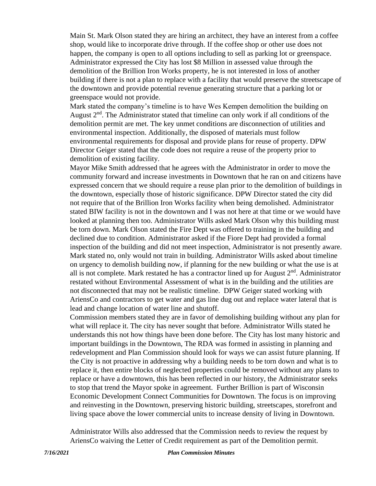Main St. Mark Olson stated they are hiring an architect, they have an interest from a coffee shop, would like to incorporate drive through. If the coffee shop or other use does not happen, the company is open to all options including to sell as parking lot or greenspace. Administrator expressed the City has lost \$8 Million in assessed value through the demolition of the Brillion Iron Works property, he is not interested in loss of another building if there is not a plan to replace with a facility that would preserve the streetscape of the downtown and provide potential revenue generating structure that a parking lot or greenspace would not provide.

Mark stated the company's timeline is to have Wes Kempen demolition the building on August  $2<sup>nd</sup>$ . The Administrator stated that timeline can only work if all conditions of the demolition permit are met. The key unmet conditions are disconnection of utilities and environmental inspection. Additionally, the disposed of materials must follow environmental requirements for disposal and provide plans for reuse of property. DPW Director Geiger stated that the code does not require a reuse of the property prior to demolition of existing facility.

Mayor Mike Smith addressed that he agrees with the Administrator in order to move the community forward and increase investments in Downtown that he ran on and citizens have expressed concern that we should require a reuse plan prior to the demolition of buildings in the downtown, especially those of historic significance. DPW Director stated the city did not require that of the Brillion Iron Works facility when being demolished. Administrator stated BIW facility is not in the downtown and I was not here at that time or we would have looked at planning then too. Administrator Wills asked Mark Olson why this building must be torn down. Mark Olson stated the Fire Dept was offered to training in the building and declined due to condition. Administrator asked if the Fiore Dept had provided a formal inspection of the building and did not meet inspection, Administrator is not presently aware. Mark stated no, only would not train in building. Administrator Wills asked about timeline on urgency to demolish building now, if planning for the new building or what the use is at all is not complete. Mark restated he has a contractor lined up for August  $2<sup>nd</sup>$ . Administrator restated without Environmental Assessment of what is in the building and the utilities are not disconnected that may not be realistic timeline. DPW Geiger stated working with AriensCo and contractors to get water and gas line dug out and replace water lateral that is lead and change location of water line and shutoff.

Commission members stated they are in favor of demolishing building without any plan for what will replace it. The city has never sought that before. Administrator Wills stated he understands this not how things have been done before. The City has lost many historic and important buildings in the Downtown, The RDA was formed in assisting in planning and redevelopment and Plan Commission should look for ways we can assist future planning. If the City is not proactive in addressing why a building needs to be torn down and what is to replace it, then entire blocks of neglected properties could be removed without any plans to replace or have a downtown, this has been reflected in our history, the Administrator seeks to stop that trend the Mayor spoke in agreement. Further Brillion is part of Wisconsin Economic Development Connect Communities for Downtown. The focus is on improving and reinvesting in the Downtown, preserving historic building, streetscapes, storefront and living space above the lower commercial units to increase density of living in Downtown.

Administrator Wills also addressed that the Commission needs to review the request by AriensCo waiving the Letter of Credit requirement as part of the Demolition permit.